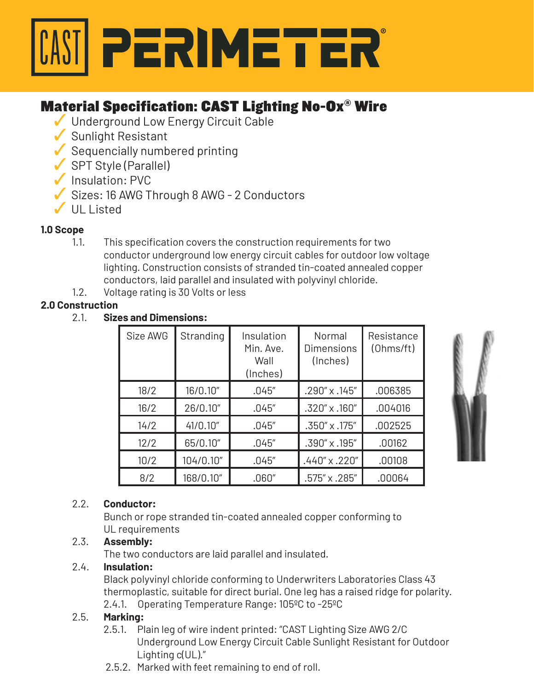

# Material Specification: CAST Lighting No-Ox® Wire

- ✓ Underground Low Energy Circuit Cable
- ✓ Sunlight Resistant
- $\checkmark$  Sequencially numbered printing
- ✓ SPT Style (Parallel)
- ✓ Insulation: PVC
- ✓ Sizes: 16 AWG Through 8 AWG 2 Conductors
- ✓ UL Listed

# **1.0 Scope**

- 1.1. This specification covers the construction requirements for two conductor underground low energy circuit cables for outdoor low voltage lighting. Construction consists of stranded tin-coated annealed copper conductors, laid parallel and insulated with polyvinyl chloride.
- 1.2. Voltage rating is 30 Volts or less

# **2.0 Construction**

## 2.1. **Sizes and Dimensions:**

| Size AWG | Stranding | Insulation<br>Min. Ave.<br>Wall<br>(Inches) | Normal<br>Dimensions<br>(Inches) | Resistance<br>(Ohms/ft) |
|----------|-----------|---------------------------------------------|----------------------------------|-------------------------|
| 18/2     | 16/0.10"  | .045''                                      | $.290'' \times .145''$           | .006385                 |
| 16/2     | 26/0.10"  | .045''                                      | $.320'' \times .160''$           | .004016                 |
| 14/2     | 41/0.10"  | .045''                                      | .350" x .175"                    | .002525                 |
| 12/2     | 65/0.10"  | .045''                                      | $.390'' \times .195''$           | .00162                  |
| 10/2     | 104/0.10" | .045''                                      | $.440'' \times .220''$           | .00108                  |
| 8/2      | 168/0.10" | .060″                                       | .575″ x .285″                    | .00064                  |



# 2.2. **Conductor:**

 Bunch or rope stranded tin-coated annealed copper conforming to UL requirements

# 2.3. **Assembly:**

The two conductors are laid parallel and insulated.

# 2.4. **Insulation:**

 Black polyvinyl chloride conforming to Underwriters Laboratories Class 43 thermoplastic, suitable for direct burial. One leg has a raised ridge for polarity. 2.4.1. Operating Temperature Range: 105ºC to -25ºC

# 2.5. **Marking:**

- 2.5.1. Plain leg of wire indent printed: "CAST Lighting Size AWG 2/C Underground Low Energy Circuit Cable Sunlight Resistant for Outdoor Lighting c(UL)."
- 2.5.2. Marked with feet remaining to end of roll.